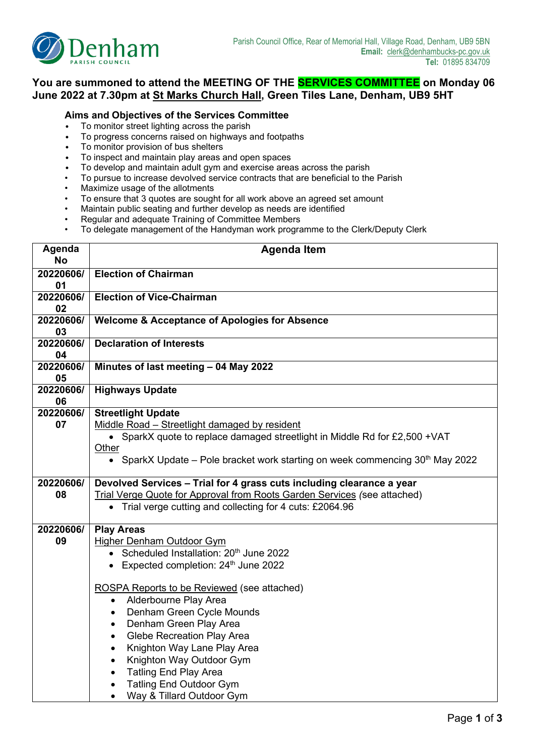

## **You are summoned to attend the MEETING OF THE SERVICES COMMITTEE on Monday 06 June 2022 at 7.30pm at St Marks Church Hall, Green Tiles Lane, Denham, UB9 5HT**

## **Aims and Objectives of the Services Committee**

- To monitor street lighting across the parish<br>• To progress concerns raised on highways
- To progress concerns raised on highways and footpaths
- To monitor provision of bus shelters
- To inspect and maintain play areas and open spaces
- To develop and maintain adult gym and exercise areas across the parish
- To pursue to increase devolved service contracts that are beneficial to the Parish
- Maximize usage of the allotments
- To ensure that 3 quotes are sought for all work above an agreed set amount
- Maintain public seating and further develop as needs are identified
- Regular and adequate Training of Committee Members
- To delegate management of the Handyman work programme to the Clerk/Deputy Clerk

| Agenda<br>No    | <b>Agenda Item</b>                                                                                                                                                                                                                                                                                                                                                                                                                                                                                                                                                                                                 |
|-----------------|--------------------------------------------------------------------------------------------------------------------------------------------------------------------------------------------------------------------------------------------------------------------------------------------------------------------------------------------------------------------------------------------------------------------------------------------------------------------------------------------------------------------------------------------------------------------------------------------------------------------|
| 20220606/<br>01 | <b>Election of Chairman</b>                                                                                                                                                                                                                                                                                                                                                                                                                                                                                                                                                                                        |
| 20220606/<br>02 | <b>Election of Vice-Chairman</b>                                                                                                                                                                                                                                                                                                                                                                                                                                                                                                                                                                                   |
| 20220606/<br>03 | <b>Welcome &amp; Acceptance of Apologies for Absence</b>                                                                                                                                                                                                                                                                                                                                                                                                                                                                                                                                                           |
| 20220606/<br>04 | <b>Declaration of Interests</b>                                                                                                                                                                                                                                                                                                                                                                                                                                                                                                                                                                                    |
| 20220606/<br>05 | Minutes of last meeting - 04 May 2022                                                                                                                                                                                                                                                                                                                                                                                                                                                                                                                                                                              |
| 20220606/<br>06 | <b>Highways Update</b>                                                                                                                                                                                                                                                                                                                                                                                                                                                                                                                                                                                             |
| 20220606/<br>07 | <b>Streetlight Update</b><br>Middle Road - Streetlight damaged by resident<br>• SparkX quote to replace damaged streetlight in Middle Rd for £2,500 + VAT<br>Other<br>• SparkX Update – Pole bracket work starting on week commencing $30th$ May 2022                                                                                                                                                                                                                                                                                                                                                              |
| 20220606/<br>08 | Devolved Services - Trial for 4 grass cuts including clearance a year<br>Trial Verge Quote for Approval from Roots Garden Services (see attached)<br>Trial verge cutting and collecting for 4 cuts: £2064.96                                                                                                                                                                                                                                                                                                                                                                                                       |
| 20220606/<br>09 | <b>Play Areas</b><br><b>Higher Denham Outdoor Gym</b><br>• Scheduled Installation: 20 <sup>th</sup> June 2022<br>Expected completion: 24 <sup>th</sup> June 2022<br>$\bullet$<br><b>ROSPA Reports to be Reviewed (see attached)</b><br>Alderbourne Play Area<br>$\bullet$<br>Denham Green Cycle Mounds<br>٠<br>Denham Green Play Area<br>$\bullet$<br><b>Glebe Recreation Play Area</b><br>$\bullet$<br>Knighton Way Lane Play Area<br>$\bullet$<br>Knighton Way Outdoor Gym<br>$\bullet$<br><b>Tatling End Play Area</b><br>$\bullet$<br><b>Tatling End Outdoor Gym</b><br>Way & Tillard Outdoor Gym<br>$\bullet$ |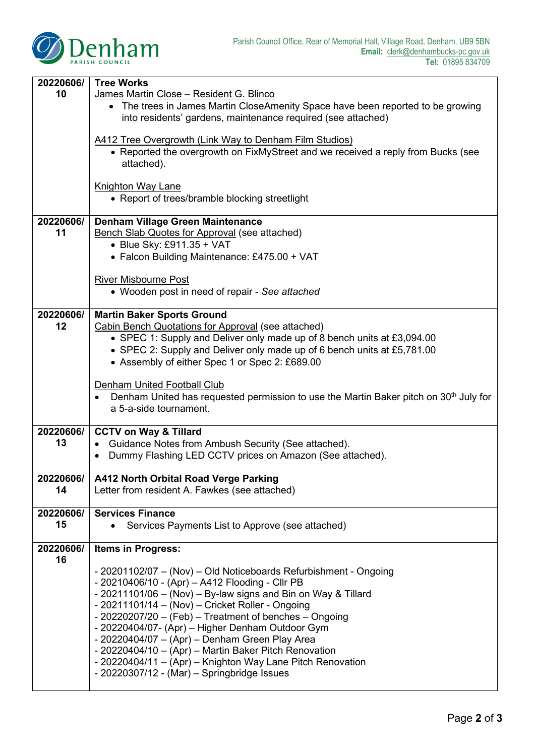

| 20220606/       | <b>Tree Works</b>                                                                                                                               |  |  |  |  |  |
|-----------------|-------------------------------------------------------------------------------------------------------------------------------------------------|--|--|--|--|--|
| 10              | James Martin Close - Resident G. Blinco                                                                                                         |  |  |  |  |  |
|                 | • The trees in James Martin CloseAmenity Space have been reported to be growing<br>into residents' gardens, maintenance required (see attached) |  |  |  |  |  |
|                 |                                                                                                                                                 |  |  |  |  |  |
|                 | A412 Tree Overgrowth (Link Way to Denham Film Studios)                                                                                          |  |  |  |  |  |
|                 | • Reported the overgrowth on FixMyStreet and we received a reply from Bucks (see<br>attached).                                                  |  |  |  |  |  |
|                 |                                                                                                                                                 |  |  |  |  |  |
|                 | <b>Knighton Way Lane</b><br>• Report of trees/bramble blocking streetlight                                                                      |  |  |  |  |  |
|                 |                                                                                                                                                 |  |  |  |  |  |
| 20220606/       | <b>Denham Village Green Maintenance</b>                                                                                                         |  |  |  |  |  |
| 11              | <b>Bench Slab Quotes for Approval (see attached)</b>                                                                                            |  |  |  |  |  |
|                 | • Blue Sky: £911.35 + VAT                                                                                                                       |  |  |  |  |  |
|                 | • Falcon Building Maintenance: £475.00 + VAT                                                                                                    |  |  |  |  |  |
|                 | <b>River Misbourne Post</b>                                                                                                                     |  |  |  |  |  |
|                 | • Wooden post in need of repair - See attached                                                                                                  |  |  |  |  |  |
|                 |                                                                                                                                                 |  |  |  |  |  |
| 20220606/       | <b>Martin Baker Sports Ground</b>                                                                                                               |  |  |  |  |  |
| 12              | Cabin Bench Quotations for Approval (see attached)                                                                                              |  |  |  |  |  |
|                 | • SPEC 1: Supply and Deliver only made up of 8 bench units at £3,094.00                                                                         |  |  |  |  |  |
|                 | • SPEC 2: Supply and Deliver only made up of 6 bench units at £5,781.00                                                                         |  |  |  |  |  |
|                 | • Assembly of either Spec 1 or Spec 2: £689.00                                                                                                  |  |  |  |  |  |
|                 |                                                                                                                                                 |  |  |  |  |  |
|                 | Denham United Football Club                                                                                                                     |  |  |  |  |  |
|                 | Denham United has requested permission to use the Martin Baker pitch on 30 <sup>th</sup> July for<br>a 5-a-side tournament.                     |  |  |  |  |  |
|                 |                                                                                                                                                 |  |  |  |  |  |
| 20220606/       | <b>CCTV on Way &amp; Tillard</b>                                                                                                                |  |  |  |  |  |
| 13              | Guidance Notes from Ambush Security (See attached).<br>$\bullet$                                                                                |  |  |  |  |  |
|                 | Dummy Flashing LED CCTV prices on Amazon (See attached).<br>$\bullet$                                                                           |  |  |  |  |  |
|                 |                                                                                                                                                 |  |  |  |  |  |
| 20220606/       | A412 North Orbital Road Verge Parking                                                                                                           |  |  |  |  |  |
| 14              | Letter from resident A. Fawkes (see attached)                                                                                                   |  |  |  |  |  |
| 20220606/       | <b>Services Finance</b>                                                                                                                         |  |  |  |  |  |
| 15              | Services Payments List to Approve (see attached)                                                                                                |  |  |  |  |  |
|                 |                                                                                                                                                 |  |  |  |  |  |
| 20220606/<br>16 | <b>Items in Progress:</b>                                                                                                                       |  |  |  |  |  |
|                 | - 20201102/07 - (Nov) - Old Noticeboards Refurbishment - Ongoing                                                                                |  |  |  |  |  |
|                 | - 20210406/10 - (Apr) - A412 Flooding - Cllr PB                                                                                                 |  |  |  |  |  |
|                 | - 20211101/06 - (Nov) - By-law signs and Bin on Way & Tillard                                                                                   |  |  |  |  |  |
|                 | - 20211101/14 – (Nov) – Cricket Roller - Ongoing                                                                                                |  |  |  |  |  |
|                 | - 20220207/20 - (Feb) - Treatment of benches - Ongoing                                                                                          |  |  |  |  |  |
|                 | - 20220404/07- (Apr) - Higher Denham Outdoor Gym                                                                                                |  |  |  |  |  |
|                 | - 20220404/07 - (Apr) - Denham Green Play Area                                                                                                  |  |  |  |  |  |
|                 | - 20220404/10 - (Apr) - Martin Baker Pitch Renovation                                                                                           |  |  |  |  |  |
|                 | - 20220404/11 - (Apr) - Knighton Way Lane Pitch Renovation                                                                                      |  |  |  |  |  |
|                 | - 20220307/12 - (Mar) - Springbridge Issues                                                                                                     |  |  |  |  |  |
|                 |                                                                                                                                                 |  |  |  |  |  |